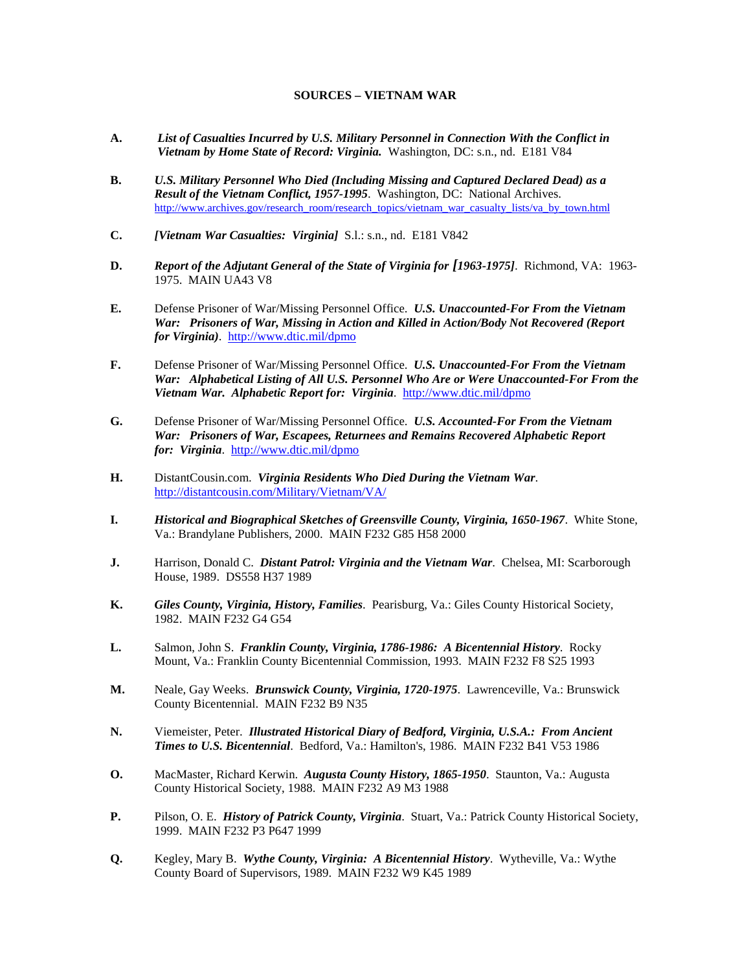## **SOURCES – VIETNAM WAR**

- **A.** *List of Casualties Incurred by U.S. Military Personnel in Connection With the Conflict in Vietnam by Home State of Record: Virginia.* Washington, DC: s.n., nd. E181 V84
- **B.** *U.S. Military Personnel Who Died (Including Missing and Captured Declared Dead) as a Result of the Vietnam Conflict, 1957-1995*. Washington, DC: National Archives. [http://www.archives.gov/research\\_room/research\\_topics/vietnam\\_war\\_casualty\\_lists/va\\_by\\_town.html](http://www.archives.gov/research_room/research_topics/vietnam_war_casualty_lists/va_by_town.html)
- **C.** *[Vietnam War Casualties: Virginia]* S.l.: s.n., nd. E181 V842
- **D.** *Report of the Adjutant General of the State of Virginia for [1963-1975]*. Richmond, VA: 1963- 1975. MAIN UA43 V8
- **E.** Defense Prisoner of War/Missing Personnel Office. *U.S. Unaccounted-For From the Vietnam War: Prisoners of War, Missing in Action and Killed in Action/Body Not Recovered (Report for Virginia)*. <http://www.dtic.mil/dpmo>
- **F.** Defense Prisoner of War/Missing Personnel Office. *U.S. Unaccounted-For From the Vietnam War: Alphabetical Listing of All U.S. Personnel Who Are or Were Unaccounted-For From the Vietnam War. Alphabetic Report for: Virginia*. <http://www.dtic.mil/dpmo>
- **G.** Defense Prisoner of War/Missing Personnel Office. *U.S. Accounted-For From the Vietnam War: Prisoners of War, Escapees, Returnees and Remains Recovered Alphabetic Report for: Virginia*. <http://www.dtic.mil/dpmo>
- **H.** DistantCousin.com. *Virginia Residents Who Died During the Vietnam War*. <http://distantcousin.com/Military/Vietnam/VA/>
- **I.** *Historical and Biographical Sketches of Greensville County, Virginia, 1650-1967*. White Stone, Va.: Brandylane Publishers, 2000. MAIN F232 G85 H58 2000
- **J.** Harrison, Donald C. *Distant Patrol: Virginia and the Vietnam War*. Chelsea, MI: Scarborough House, 1989. DS558 H37 1989
- **K.** *Giles County, Virginia, History, Families*. Pearisburg, Va.: Giles County Historical Society, 1982. MAIN F232 G4 G54
- **L.** Salmon, John S. *Franklin County, Virginia, 1786-1986: A Bicentennial History*. Rocky Mount, Va.: Franklin County Bicentennial Commission, 1993. MAIN F232 F8 S25 1993
- **M.** Neale, Gay Weeks. *Brunswick County, Virginia, 1720-1975*. Lawrenceville, Va.: Brunswick County Bicentennial. MAIN F232 B9 N35
- **N.** Viemeister, Peter. *Illustrated Historical Diary of Bedford, Virginia, U.S.A.: From Ancient Times to U.S. Bicentennial*. Bedford, Va.: Hamilton's, 1986. MAIN F232 B41 V53 1986
- **O.** MacMaster, Richard Kerwin. *Augusta County History, 1865-1950*. Staunton, Va.: Augusta County Historical Society, 1988. MAIN F232 A9 M3 1988
- **P.** Pilson, O. E. *History of Patrick County, Virginia*. Stuart, Va.: Patrick County Historical Society, 1999. MAIN F232 P3 P647 1999
- **Q.** Kegley, Mary B. *Wythe County, Virginia: A Bicentennial History*. Wytheville, Va.: Wythe County Board of Supervisors, 1989. MAIN F232 W9 K45 1989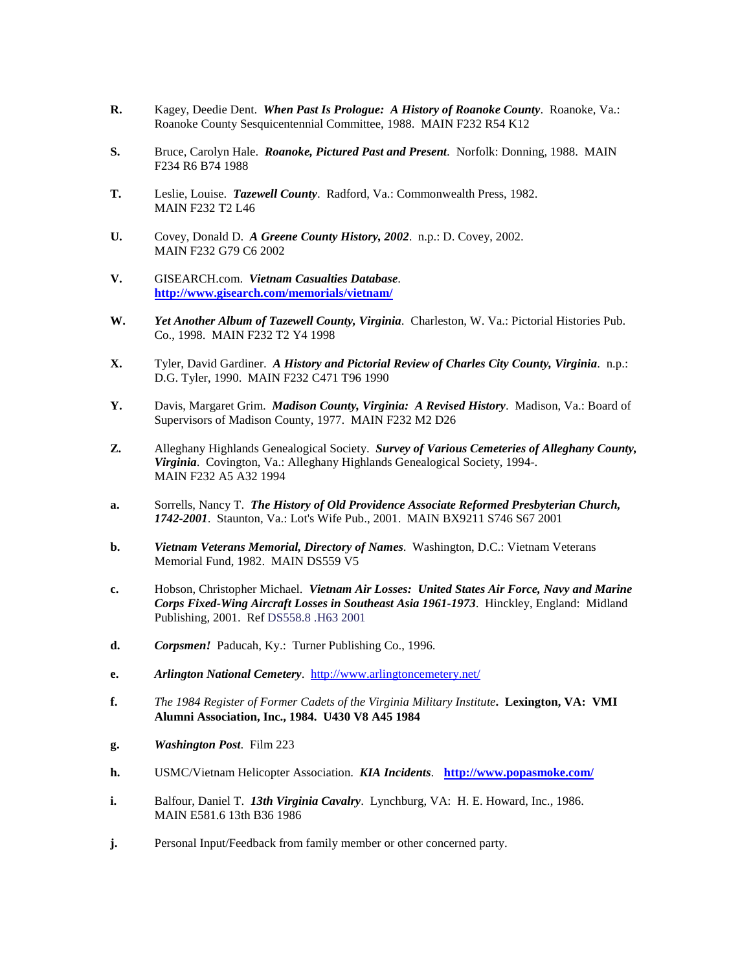- **R.** Kagey, Deedie Dent. *When Past Is Prologue: A History of Roanoke County*. Roanoke, Va.: Roanoke County Sesquicentennial Committee, 1988. MAIN F232 R54 K12
- **S.** Bruce, Carolyn Hale. *Roanoke, Pictured Past and Present*. Norfolk: Donning, 1988. MAIN F234 R6 B74 1988
- **T.** Leslie, Louise. *Tazewell County*. Radford, Va.: Commonwealth Press, 1982. MAIN F232 T2 L46
- **U.** Covey, Donald D. *A Greene County History, 2002*. n.p.: D. Covey, 2002. MAIN F232 G79 C6 2002
- **V.** GISEARCH.com. *Vietnam Casualties Database*. **<http://www.gisearch.com/memorials/vietnam/>**
- **W.** *Yet Another Album of Tazewell County, Virginia*. Charleston, W. Va.: Pictorial Histories Pub. Co., 1998. MAIN F232 T2 Y4 1998
- **X.** Tyler, David Gardiner. *A History and Pictorial Review of Charles City County, Virginia*. n.p.: D.G. Tyler, 1990. MAIN F232 C471 T96 1990
- **Y.** Davis, Margaret Grim. *Madison County, Virginia: A Revised History*. Madison, Va.: Board of Supervisors of Madison County, 1977. MAIN F232 M2 D26
- **Z.** Alleghany Highlands Genealogical Society. *Survey of Various Cemeteries of Alleghany County, Virginia*. Covington, Va.: Alleghany Highlands Genealogical Society, 1994-. MAIN F232 A5 A32 1994
- **a.** Sorrells, Nancy T. *The History of Old Providence Associate Reformed Presbyterian Church, 1742-2001*. Staunton, Va.: Lot's Wife Pub., 2001. MAIN BX9211 S746 S67 2001
- **b.** *Vietnam Veterans Memorial, Directory of Names*. Washington, D.C.: Vietnam Veterans Memorial Fund, 1982. MAIN DS559 V5
- **c.** Hobson, Christopher Michael. *Vietnam Air Losses: United States Air Force, Navy and Marine Corps Fixed-Wing Aircraft Losses in Southeast Asia 1961-1973*. Hinckley, England: Midland Publishing, 2001. Ref DS558.8 .H63 2001
- **d.** *Corpsmen!* Paducah, Ky.: Turner Publishing Co., 1996.
- **e.** *Arlington National Cemetery*. <http://www.arlingtoncemetery.net/>
- **f.** *The 1984 Register of Former Cadets of the Virginia Military Institute***. Lexington, VA: VMI Alumni Association, Inc., 1984. U430 V8 A45 1984**
- **g.** *Washington Post*. Film 223
- **h.** USMC/Vietnam Helicopter Association. *KIA Incidents*. **<http://www.popasmoke.com/>**
- **i.** Balfour, Daniel T. *13th Virginia Cavalry*. Lynchburg, VA: H. E. Howard, Inc., 1986. MAIN E581.6 13th B36 1986
- **j.** Personal Input/Feedback from family member or other concerned party.